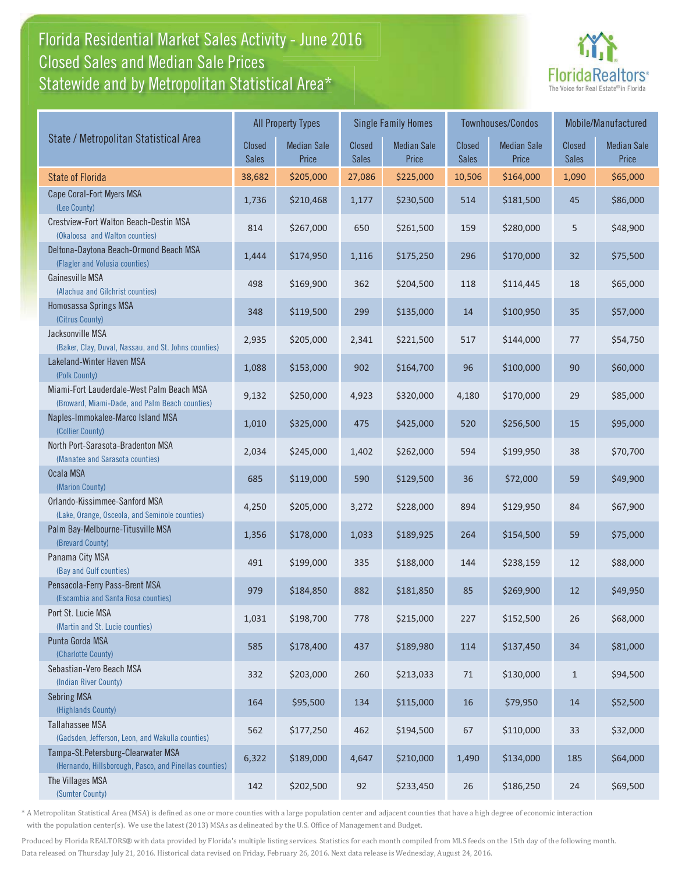### Florida Residential Market Sales Activity - June 2016 Statewide and by Metropolitan Statistical Area $^{\star}$ Closed Sales and Median Sale Prices



|                                                                                              |                               | <b>All Property Types</b>   |                               | <b>Single Family Homes</b>  |                        | <b>Townhouses/Condos</b>    |                               | Mobile/Manufactured         |  |  |
|----------------------------------------------------------------------------------------------|-------------------------------|-----------------------------|-------------------------------|-----------------------------|------------------------|-----------------------------|-------------------------------|-----------------------------|--|--|
| State / Metropolitan Statistical Area                                                        | <b>Closed</b><br><b>Sales</b> | <b>Median Sale</b><br>Price | <b>Closed</b><br><b>Sales</b> | <b>Median Sale</b><br>Price | Closed<br><b>Sales</b> | <b>Median Sale</b><br>Price | <b>Closed</b><br><b>Sales</b> | <b>Median Sale</b><br>Price |  |  |
| <b>State of Florida</b>                                                                      | 38,682                        | \$205,000                   | 27,086                        | \$225,000                   | 10,506                 | \$164,000                   | 1,090                         | \$65,000                    |  |  |
| Cape Coral-Fort Myers MSA<br>(Lee County)                                                    | 1,736                         | \$210,468                   | 1,177                         | \$230,500                   | 514                    | \$181,500                   | 45                            | \$86,000                    |  |  |
| Crestview-Fort Walton Beach-Destin MSA<br>(Okaloosa and Walton counties)                     | 814                           | \$267,000                   | 650                           | \$261,500                   | 159                    | \$280,000                   | 5                             | \$48,900                    |  |  |
| Deltona-Daytona Beach-Ormond Beach MSA<br>(Flagler and Volusia counties)                     | 1,444                         | \$174,950                   | 1,116                         | \$175,250                   | 296                    | \$170,000                   | 32                            | \$75,500                    |  |  |
| Gainesville MSA<br>(Alachua and Gilchrist counties)                                          | 498                           | \$169,900                   | 362                           | \$204,500                   | 118                    | \$114,445                   | 18                            | \$65,000                    |  |  |
| Homosassa Springs MSA<br>(Citrus County)                                                     | 348                           | \$119,500                   | 299                           | \$135,000                   | 14                     | \$100,950                   | 35                            | \$57,000                    |  |  |
| Jacksonville MSA<br>(Baker, Clay, Duval, Nassau, and St. Johns counties)                     | 2,935                         | \$205,000                   | 2,341                         | \$221,500                   | 517                    | \$144,000                   | 77                            | \$54,750                    |  |  |
| Lakeland-Winter Haven MSA<br>(Polk County)                                                   | 1,088                         | \$153,000                   | 902                           | \$164,700                   | 96                     | \$100,000                   | 90                            | \$60,000                    |  |  |
| Miami-Fort Lauderdale-West Palm Beach MSA<br>(Broward, Miami-Dade, and Palm Beach counties)  | 9,132                         | \$250,000                   | 4,923                         | \$320,000                   | 4,180                  | \$170,000                   | 29                            | \$85,000                    |  |  |
| Naples-Immokalee-Marco Island MSA<br>(Collier County)                                        | 1,010                         | \$325,000                   | 475                           | \$425,000                   | 520                    | \$256,500                   | 15                            | \$95,000                    |  |  |
| North Port-Sarasota-Bradenton MSA<br>(Manatee and Sarasota counties)                         | 2,034                         | \$245,000                   | 1,402                         | \$262,000                   | 594                    | \$199,950                   | 38                            | \$70,700                    |  |  |
| Ocala MSA<br>(Marion County)                                                                 | 685                           | \$119,000                   | 590                           | \$129,500                   | 36                     | \$72,000                    | 59                            | \$49,900                    |  |  |
| Orlando-Kissimmee-Sanford MSA<br>(Lake, Orange, Osceola, and Seminole counties)              | 4,250                         | \$205,000                   | 3,272                         | \$228,000                   | 894                    | \$129,950                   | 84                            | \$67,900                    |  |  |
| Palm Bay-Melbourne-Titusville MSA<br>(Brevard County)                                        | 1,356                         | \$178,000                   | 1,033                         | \$189,925                   | 264                    | \$154,500                   | 59                            | \$75,000                    |  |  |
| Panama City MSA<br>(Bay and Gulf counties)                                                   | 491                           | \$199,000                   | 335                           | \$188,000                   | 144                    | \$238,159                   | 12                            | \$88,000                    |  |  |
| Pensacola-Ferry Pass-Brent MSA<br>(Escambia and Santa Rosa counties)                         | 979                           | \$184,850                   | 882                           | \$181,850                   | 85                     | \$269,900                   | 12                            | \$49,950                    |  |  |
| Port St. Lucie MSA<br>(Martin and St. Lucie counties)                                        | 1,031                         | \$198,700                   | 778                           | \$215,000                   | 227                    | \$152,500                   | 26                            | \$68,000                    |  |  |
| Punta Gorda MSA<br>(Charlotte County)                                                        | 585                           | \$178,400                   | 437                           | \$189,980                   | 114                    | \$137,450                   | 34                            | \$81,000                    |  |  |
| Sebastian-Vero Beach MSA<br>(Indian River County)                                            | 332                           | \$203,000                   | 260                           | \$213,033                   | 71                     | \$130,000                   | $\mathbf{1}$                  | \$94,500                    |  |  |
| <b>Sebring MSA</b><br>(Highlands County)                                                     | 164                           | \$95,500                    | 134                           | \$115,000                   | 16                     | \$79,950                    | 14                            | \$52,500                    |  |  |
| <b>Tallahassee MSA</b><br>(Gadsden, Jefferson, Leon, and Wakulla counties)                   | 562                           | \$177,250                   | 462                           | \$194,500                   | 67                     | \$110,000                   | 33                            | \$32,000                    |  |  |
| Tampa-St.Petersburg-Clearwater MSA<br>(Hernando, Hillsborough, Pasco, and Pinellas counties) | 6,322                         | \$189,000                   | 4,647                         | \$210,000                   | 1,490                  | \$134,000                   | 185                           | \$64,000                    |  |  |
| The Villages MSA<br>(Sumter County)                                                          | 142                           | \$202,500                   | 92                            | \$233,450                   | 26                     | \$186,250                   | 24                            | \$69,500                    |  |  |

\* A Metropolitan Statistical Area (MSA) is defined as one or more counties with a large population center and adjacent counties that have a high degree of economic interaction with the population center(s). We use the latest (2013) MSAs as delineated by the U.S. Office of Management and Budget.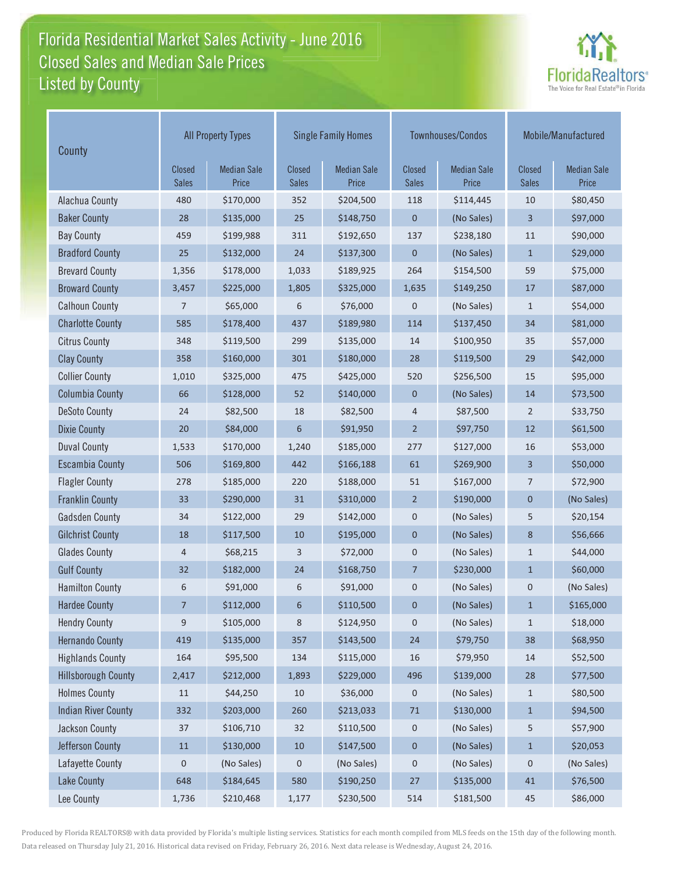### Florida Residential Market Sales Activity - June 2016 Listed by County-Closed Sales and Median Sale Prices



| County                     | <b>All Property Types</b>     |                             |                               | <b>Single Family Homes</b>  |                               | Townhouses/Condos           | Mobile/Manufactured           |                             |
|----------------------------|-------------------------------|-----------------------------|-------------------------------|-----------------------------|-------------------------------|-----------------------------|-------------------------------|-----------------------------|
|                            | <b>Closed</b><br><b>Sales</b> | <b>Median Sale</b><br>Price | <b>Closed</b><br><b>Sales</b> | <b>Median Sale</b><br>Price | <b>Closed</b><br><b>Sales</b> | <b>Median Sale</b><br>Price | <b>Closed</b><br><b>Sales</b> | <b>Median Sale</b><br>Price |
| Alachua County             | 480                           | \$170,000                   | 352                           | \$204,500                   | 118                           | \$114,445                   | 10                            | \$80,450                    |
| <b>Baker County</b>        | 28                            | \$135,000                   | 25                            | \$148,750                   | $\boldsymbol{0}$              | (No Sales)                  | 3                             | \$97,000                    |
| <b>Bay County</b>          | 459                           | \$199,988                   | 311                           | \$192,650                   | 137                           | \$238,180                   | 11                            | \$90,000                    |
| <b>Bradford County</b>     | 25                            | \$132,000                   | 24                            | \$137,300                   | $\mathbf{0}$                  | (No Sales)                  | $\mathbf{1}$                  | \$29,000                    |
| <b>Brevard County</b>      | 1,356                         | \$178,000                   | 1,033                         | \$189,925                   | 264                           | \$154,500                   | 59                            | \$75,000                    |
| <b>Broward County</b>      | 3,457                         | \$225,000                   | 1,805                         | \$325,000                   | 1,635                         | \$149,250                   | 17                            | \$87,000                    |
| <b>Calhoun County</b>      | $\overline{7}$                | \$65,000                    | 6                             | \$76,000                    | $\mathbf 0$                   | (No Sales)                  | $\mathbf{1}$                  | \$54,000                    |
| <b>Charlotte County</b>    | 585                           | \$178,400                   | 437                           | \$189,980                   | 114                           | \$137,450                   | 34                            | \$81,000                    |
| <b>Citrus County</b>       | 348                           | \$119,500                   | 299                           | \$135,000                   | 14                            | \$100,950                   | 35                            | \$57,000                    |
| <b>Clay County</b>         | 358                           | \$160,000                   | 301                           | \$180,000                   | 28                            | \$119,500                   | 29                            | \$42,000                    |
| <b>Collier County</b>      | 1,010                         | \$325,000                   | 475                           | \$425,000                   | 520                           | \$256,500                   | 15                            | \$95,000                    |
| <b>Columbia County</b>     | 66                            | \$128,000                   | 52                            | \$140,000                   | $\boldsymbol{0}$              | (No Sales)                  | 14                            | \$73,500                    |
| <b>DeSoto County</b>       | 24                            | \$82,500                    | 18                            | \$82,500                    | 4                             | \$87,500                    | $\overline{2}$                | \$33,750                    |
| <b>Dixie County</b>        | 20                            | \$84,000                    | 6                             | \$91,950                    | $\overline{2}$                | \$97,750                    | 12                            | \$61,500                    |
| <b>Duval County</b>        | 1,533                         | \$170,000                   | 1,240                         | \$185,000                   | 277                           | \$127,000                   | 16                            | \$53,000                    |
| <b>Escambia County</b>     | 506                           | \$169,800                   | 442                           | \$166,188                   | 61                            | \$269,900                   | 3                             | \$50,000                    |
| <b>Flagler County</b>      | 278                           | \$185,000                   | 220                           | \$188,000                   | 51                            | \$167,000                   | 7                             | \$72,900                    |
| <b>Franklin County</b>     | 33                            | \$290,000                   | 31                            | \$310,000                   | $\overline{2}$                | \$190,000                   | $\pmb{0}$                     | (No Sales)                  |
| <b>Gadsden County</b>      | 34                            | \$122,000                   | 29                            | \$142,000                   | $\pmb{0}$                     | (No Sales)                  | 5                             | \$20,154                    |
| <b>Gilchrist County</b>    | 18                            | \$117,500                   | 10                            | \$195,000                   | $\mathbf 0$                   | (No Sales)                  | 8                             | \$56,666                    |
| <b>Glades County</b>       | $\overline{4}$                | \$68,215                    | 3                             | \$72,000                    | $\mathbf 0$                   | (No Sales)                  | $\mathbf{1}$                  | \$44,000                    |
| <b>Gulf County</b>         | 32                            | \$182,000                   | 24                            | \$168,750                   | 7                             | \$230,000                   | $\mathbf{1}$                  | \$60,000                    |
| <b>Hamilton County</b>     | 6                             | \$91,000                    | 6                             | \$91,000                    | $\mathbf 0$                   | (No Sales)                  | $\mathbf 0$                   | (No Sales)                  |
| <b>Hardee County</b>       | 7                             | \$112,000                   | 6                             | \$110,500                   | $\pmb{0}$                     | (No Sales)                  | $\mathbf{1}$                  | \$165,000                   |
| <b>Hendry County</b>       | 9                             | \$105,000                   | 8                             | \$124,950                   | $\pmb{0}$                     | (No Sales)                  | $\mathbf{1}$                  | \$18,000                    |
| <b>Hernando County</b>     | 419                           | \$135,000                   | 357                           | \$143,500                   | 24                            | \$79,750                    | 38                            | \$68,950                    |
| <b>Highlands County</b>    | 164                           | \$95,500                    | 134                           | \$115,000                   | 16                            | \$79,950                    | 14                            | \$52,500                    |
| <b>Hillsborough County</b> | 2,417                         | \$212,000                   | 1,893                         | \$229,000                   | 496                           | \$139,000                   | 28                            | \$77,500                    |
| <b>Holmes County</b>       | 11                            | \$44,250                    | 10                            | \$36,000                    | 0                             | (No Sales)                  | $\mathbf{1}$                  | \$80,500                    |
| <b>Indian River County</b> | 332                           | \$203,000                   | 260                           | \$213,033                   | $71\,$                        | \$130,000                   | $\mathbf{1}$                  | \$94,500                    |
| Jackson County             | $37\,$                        | \$106,710                   | 32                            | \$110,500                   | 0                             | (No Sales)                  | 5                             | \$57,900                    |
| Jefferson County           | $11\,$                        | \$130,000                   | 10                            | \$147,500                   | $\boldsymbol{0}$              | (No Sales)                  | $\mathbf{1}$                  | \$20,053                    |
| Lafayette County           | $\mathsf{O}\xspace$           | (No Sales)                  | $\mathbf 0$                   | (No Sales)                  | $\pmb{0}$                     | (No Sales)                  | 0                             | (No Sales)                  |
| <b>Lake County</b>         | 648                           | \$184,645                   | 580                           | \$190,250                   | 27                            | \$135,000                   | 41                            | \$76,500                    |
| Lee County                 | 1,736                         | \$210,468                   | 1,177                         | \$230,500                   | 514                           | \$181,500                   | 45                            | \$86,000                    |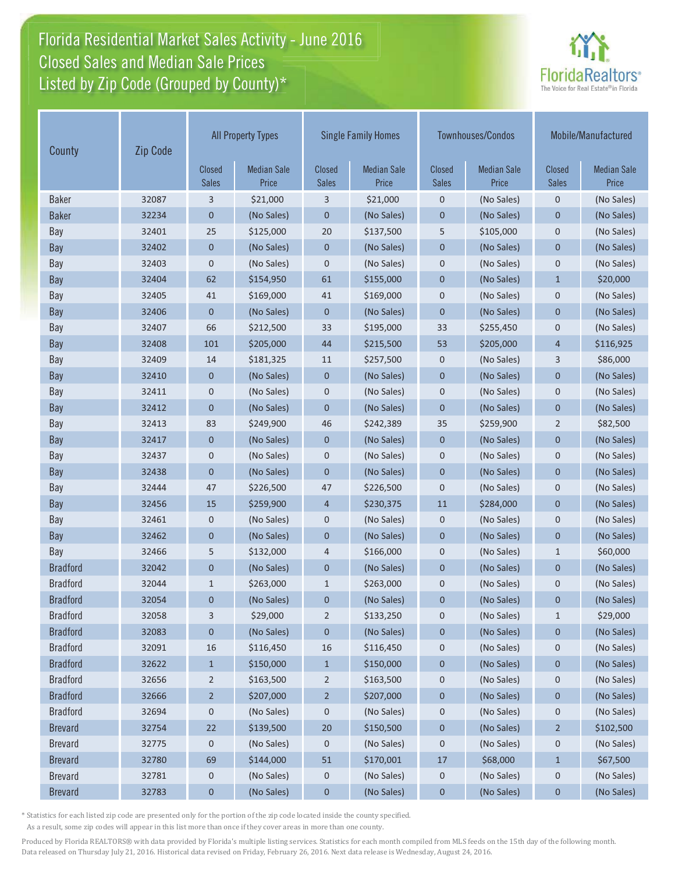# Florida Residential Market Sales Activity - June 2016 Closed Sales and Median Sale Prices  $\quad \equiv$ Listed by Zip Code (Grouped by County)\*



| County          | <b>Zip Code</b> | <b>All Property Types</b>     |                             | <b>Single Family Homes</b>    |                             |                               | Townhouses/Condos           | Mobile/Manufactured    |                             |
|-----------------|-----------------|-------------------------------|-----------------------------|-------------------------------|-----------------------------|-------------------------------|-----------------------------|------------------------|-----------------------------|
|                 |                 | <b>Closed</b><br><b>Sales</b> | <b>Median Sale</b><br>Price | <b>Closed</b><br><b>Sales</b> | <b>Median Sale</b><br>Price | <b>Closed</b><br><b>Sales</b> | <b>Median Sale</b><br>Price | Closed<br><b>Sales</b> | <b>Median Sale</b><br>Price |
| <b>Baker</b>    | 32087           | 3                             | \$21,000                    | 3                             | \$21,000                    | $\mathbf 0$                   | (No Sales)                  | $\boldsymbol{0}$       | (No Sales)                  |
| <b>Baker</b>    | 32234           | $\mathbf 0$                   | (No Sales)                  | $\mathbf 0$                   | (No Sales)                  | $\mathbf 0$                   | (No Sales)                  | $\mathbf 0$            | (No Sales)                  |
| Bay             | 32401           | 25                            | \$125,000                   | 20                            | \$137,500                   | 5                             | \$105,000                   | $\boldsymbol{0}$       | (No Sales)                  |
| Bay             | 32402           | $\theta$                      | (No Sales)                  | $\mathbf 0$                   | (No Sales)                  | $\mathbf 0$                   | (No Sales)                  | $\mathbf 0$            | (No Sales)                  |
| Bay             | 32403           | $\mathbf 0$                   | (No Sales)                  | $\mathbf 0$                   | (No Sales)                  | $\mathbf 0$                   | (No Sales)                  | $\mathbf 0$            | (No Sales)                  |
| Bay             | 32404           | 62                            | \$154,950                   | 61                            | \$155,000                   | $\mathbf 0$                   | (No Sales)                  | $\mathbf{1}$           | \$20,000                    |
| Bay             | 32405           | 41                            | \$169,000                   | 41                            | \$169,000                   | 0                             | (No Sales)                  | $\pmb{0}$              | (No Sales)                  |
| Bay             | 32406           | $\mathbf 0$                   | (No Sales)                  | $\mathbf 0$                   | (No Sales)                  | $\mathbf 0$                   | (No Sales)                  | $\mathbf 0$            | (No Sales)                  |
| Bay             | 32407           | 66                            | \$212,500                   | 33                            | \$195,000                   | 33                            | \$255,450                   | $\mathbf 0$            | (No Sales)                  |
| Bay             | 32408           | 101                           | \$205,000                   | 44                            | \$215,500                   | 53                            | \$205,000                   | $\overline{4}$         | \$116,925                   |
| Bay             | 32409           | 14                            | \$181,325                   | 11                            | \$257,500                   | $\mathbf 0$                   | (No Sales)                  | 3                      | \$86,000                    |
| Bay             | 32410           | $\theta$                      | (No Sales)                  | $\mathbf 0$                   | (No Sales)                  | $\mathbf 0$                   | (No Sales)                  | $\mathbf 0$            | (No Sales)                  |
| Bay             | 32411           | 0                             | (No Sales)                  | $\mathbf 0$                   | (No Sales)                  | $\pmb{0}$                     | (No Sales)                  | $\pmb{0}$              | (No Sales)                  |
| Bay             | 32412           | $\mathbf 0$                   | (No Sales)                  | $\mathbf 0$                   | (No Sales)                  | $\pmb{0}$                     | (No Sales)                  | $\mathbf 0$            | (No Sales)                  |
| Bay             | 32413           | 83                            | \$249,900                   | 46                            | \$242,389                   | 35                            | \$259,900                   | $\overline{2}$         | \$82,500                    |
| Bay             | 32417           | $\theta$                      | (No Sales)                  | $\mathbf 0$                   | (No Sales)                  | $\mathbf 0$                   | (No Sales)                  | $\mathbf 0$            | (No Sales)                  |
| Bay             | 32437           | $\mathbf 0$                   | (No Sales)                  | $\mathbf 0$                   | (No Sales)                  | $\pmb{0}$                     | (No Sales)                  | $\pmb{0}$              | (No Sales)                  |
| <b>Bay</b>      | 32438           | $\mathbf 0$                   | (No Sales)                  | $\pmb{0}$                     | (No Sales)                  | $\mathbf 0$                   | (No Sales)                  | $\mathbf 0$            | (No Sales)                  |
| Bay             | 32444           | 47                            | \$226,500                   | 47                            | \$226,500                   | 0                             | (No Sales)                  | $\boldsymbol{0}$       | (No Sales)                  |
| Bay             | 32456           | 15                            | \$259,900                   | $\overline{4}$                | \$230,375                   | 11                            | \$284,000                   | $\mathbf 0$            | (No Sales)                  |
| Bay             | 32461           | $\mathbf 0$                   | (No Sales)                  | $\mathbf 0$                   | (No Sales)                  | 0                             | (No Sales)                  | $\mathbf 0$            | (No Sales)                  |
| <b>Bay</b>      | 32462           | $\mathbf 0$                   | (No Sales)                  | $\overline{0}$                | (No Sales)                  | $\mathbf 0$                   | (No Sales)                  | $\overline{0}$         | (No Sales)                  |
| Bay             | 32466           | 5                             | \$132,000                   | 4                             | \$166,000                   | 0                             | (No Sales)                  | $\mathbf{1}$           | \$60,000                    |
| <b>Bradford</b> | 32042           | $\mathbf 0$                   | (No Sales)                  | $\mathbf 0$                   | (No Sales)                  | $\mathbf 0$                   | (No Sales)                  | $\mathbf 0$            | (No Sales)                  |
| <b>Bradford</b> | 32044           | $\mathbf 1$                   | \$263,000                   | $\mathbf{1}$                  | \$263,000                   | $\boldsymbol{0}$              | (No Sales)                  | $\mathbf 0$            | (No Sales)                  |
| <b>Bradford</b> | 32054           | $\mathbf 0$                   | (No Sales)                  | 0                             | (No Sales)                  | $\mathbf 0$                   | (No Sales)                  | 0                      | (No Sales)                  |
| <b>Bradford</b> | 32058           | 3                             | \$29,000                    | $\overline{2}$                | \$133,250                   | 0                             | (No Sales)                  | $\mathbf{1}$           | \$29,000                    |
| <b>Bradford</b> | 32083           | 0                             | (No Sales)                  | 0                             | (No Sales)                  | $\mathbf 0$                   | (No Sales)                  | 0                      | (No Sales)                  |
| <b>Bradford</b> | 32091           | 16                            | \$116,450                   | 16                            | \$116,450                   | 0                             | (No Sales)                  | 0                      | (No Sales)                  |
| <b>Bradford</b> | 32622           | $\mathbf{1}$                  | \$150,000                   | $\mathbf{1}$                  | \$150,000                   | 0                             | (No Sales)                  | $\bf{0}$               | (No Sales)                  |
| <b>Bradford</b> | 32656           | $\overline{2}$                | \$163,500                   | $\overline{2}$                | \$163,500                   | 0                             | (No Sales)                  | 0                      | (No Sales)                  |
| <b>Bradford</b> | 32666           | $\overline{2}$                | \$207,000                   | $\overline{c}$                | \$207,000                   | $\mathbf 0$                   | (No Sales)                  | $\bf{0}$               | (No Sales)                  |
| <b>Bradford</b> | 32694           | $\mathbf 0$                   | (No Sales)                  | $\boldsymbol{0}$              | (No Sales)                  | $\mathbf 0$                   | (No Sales)                  | $\mathbf 0$            | (No Sales)                  |
| <b>Brevard</b>  | 32754           | 22                            | \$139,500                   | 20                            | \$150,500                   | $\mathbf 0$                   | (No Sales)                  | $\overline{2}$         | \$102,500                   |
| <b>Brevard</b>  | 32775           | 0                             | (No Sales)                  | 0                             | (No Sales)                  | 0                             | (No Sales)                  | 0                      | (No Sales)                  |
| <b>Brevard</b>  | 32780           | 69                            | \$144,000                   | 51                            | \$170,001                   | 17                            | \$68,000                    | $\mathbf{1}$           | \$67,500                    |
| <b>Brevard</b>  | 32781           | $\mathbf 0$                   | (No Sales)                  | $\boldsymbol{0}$              | (No Sales)                  | $\mathbf 0$                   | (No Sales)                  | $\mathbf 0$            | (No Sales)                  |
| <b>Brevard</b>  | 32783           | $\boldsymbol{0}$              | (No Sales)                  | $\bf{0}$                      | (No Sales)                  | $\pmb{0}$                     | (No Sales)                  | 0                      | (No Sales)                  |

\* Statistics for each listed zip code are presented only for the portion of the zip code located inside the county specified.

As a result, some zip codes will appear in this list more than once if they cover areas in more than one county.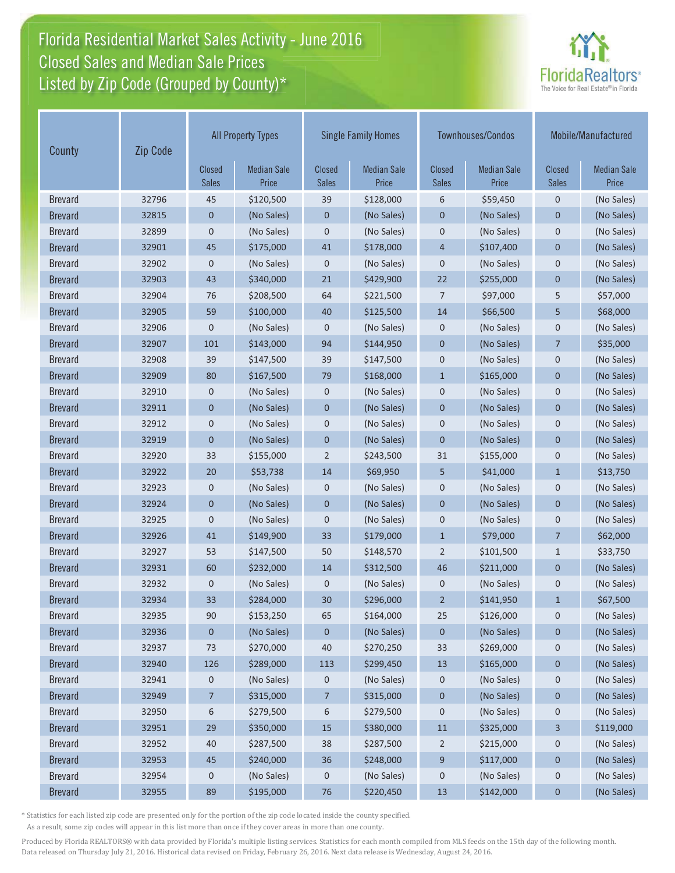# Florida Residential Market Sales Activity - June 2016 Closed Sales and Median Sale Prices  $\quad \equiv$ Listed by Zip Code (Grouped by County)\*



| County         | Zip Code |                               | <b>All Property Types</b>   | <b>Single Family Homes</b>    |                             | <b>Townhouses/Condos</b> |                             | Mobile/Manufactured    |                             |
|----------------|----------|-------------------------------|-----------------------------|-------------------------------|-----------------------------|--------------------------|-----------------------------|------------------------|-----------------------------|
|                |          | <b>Closed</b><br><b>Sales</b> | <b>Median Sale</b><br>Price | <b>Closed</b><br><b>Sales</b> | <b>Median Sale</b><br>Price | Closed<br><b>Sales</b>   | <b>Median Sale</b><br>Price | Closed<br><b>Sales</b> | <b>Median Sale</b><br>Price |
| <b>Brevard</b> | 32796    | 45                            | \$120,500                   | 39                            | \$128,000                   | 6                        | \$59,450                    | $\mathbf 0$            | (No Sales)                  |
| <b>Brevard</b> | 32815    | 0                             | (No Sales)                  | 0                             | (No Sales)                  | $\mathbf 0$              | (No Sales)                  | 0                      | (No Sales)                  |
| <b>Brevard</b> | 32899    | 0                             | (No Sales)                  | 0                             | (No Sales)                  | $\mathbf 0$              | (No Sales)                  | $\mathbf 0$            | (No Sales)                  |
| <b>Brevard</b> | 32901    | 45                            | \$175,000                   | 41                            | \$178,000                   | $\overline{4}$           | \$107,400                   | $\mathbf{0}$           | (No Sales)                  |
| <b>Brevard</b> | 32902    | 0                             | (No Sales)                  | 0                             | (No Sales)                  | $\mathbf 0$              | (No Sales)                  | $\mathbf 0$            | (No Sales)                  |
| <b>Brevard</b> | 32903    | 43                            | \$340,000                   | 21                            | \$429,900                   | 22                       | \$255,000                   | $\mathbf{0}$           | (No Sales)                  |
| <b>Brevard</b> | 32904    | 76                            | \$208,500                   | 64                            | \$221,500                   | $\overline{7}$           | \$97,000                    | 5                      | \$57,000                    |
| <b>Brevard</b> | 32905    | 59                            | \$100,000                   | 40                            | \$125,500                   | 14                       | \$66,500                    | 5                      | \$68,000                    |
| <b>Brevard</b> | 32906    | 0                             | (No Sales)                  | 0                             | (No Sales)                  | $\mathbf 0$              | (No Sales)                  | 0                      | (No Sales)                  |
| <b>Brevard</b> | 32907    | 101                           | \$143,000                   | 94                            | \$144,950                   | $\mathbf{0}$             | (No Sales)                  | $\overline{7}$         | \$35,000                    |
| <b>Brevard</b> | 32908    | 39                            | \$147,500                   | 39                            | \$147,500                   | $\mathbf 0$              | (No Sales)                  | $\mathbf 0$            | (No Sales)                  |
| <b>Brevard</b> | 32909    | 80                            | \$167,500                   | 79                            | \$168,000                   | $1\,$                    | \$165,000                   | $\mathbf 0$            | (No Sales)                  |
| <b>Brevard</b> | 32910    | 0                             | (No Sales)                  | 0                             | (No Sales)                  | $\mathbf 0$              | (No Sales)                  | $\mathbf 0$            | (No Sales)                  |
| <b>Brevard</b> | 32911    | $\mathbf 0$                   | (No Sales)                  | $\mathbf 0$                   | (No Sales)                  | $\mathbf 0$              | (No Sales)                  | $\mathbf 0$            | (No Sales)                  |
| <b>Brevard</b> | 32912    | 0                             | (No Sales)                  | 0                             | (No Sales)                  | $\mathbf 0$              | (No Sales)                  | 0                      | (No Sales)                  |
| <b>Brevard</b> | 32919    | $\mathbf 0$                   | (No Sales)                  | $\pmb{0}$                     | (No Sales)                  | $\mathbf 0$              | (No Sales)                  | $\mathbf 0$            | (No Sales)                  |
| <b>Brevard</b> | 32920    | 33                            | \$155,000                   | $\overline{2}$                | \$243,500                   | 31                       | \$155,000                   | $\mathbf 0$            | (No Sales)                  |
| <b>Brevard</b> | 32922    | 20                            | \$53,738                    | 14                            | \$69,950                    | 5                        | \$41,000                    | $\mathbf{1}$           | \$13,750                    |
| <b>Brevard</b> | 32923    | 0                             | (No Sales)                  | $\boldsymbol{0}$              | (No Sales)                  | $\mathbf 0$              | (No Sales)                  | $\mathbf 0$            | (No Sales)                  |
| <b>Brevard</b> | 32924    | $\overline{0}$                | (No Sales)                  | $\overline{0}$                | (No Sales)                  | $\mathbf{0}$             | (No Sales)                  | $\overline{0}$         | (No Sales)                  |
| <b>Brevard</b> | 32925    | $\mathbf 0$                   | (No Sales)                  | 0                             | (No Sales)                  | $\mathbf 0$              | (No Sales)                  | $\mathbf 0$            | (No Sales)                  |
| <b>Brevard</b> | 32926    | 41                            | \$149,900                   | 33                            | \$179,000                   | $\mathbf{1}$             | \$79,000                    | $\overline{7}$         | \$62,000                    |
| <b>Brevard</b> | 32927    | 53                            | \$147,500                   | 50                            | \$148,570                   | $\overline{2}$           | \$101,500                   | $\mathbf{1}$           | \$33,750                    |
| <b>Brevard</b> | 32931    | 60                            | \$232,000                   | 14                            | \$312,500                   | 46                       | \$211,000                   | $\mathbf 0$            | (No Sales)                  |
| <b>Brevard</b> | 32932    | 0                             | (No Sales)                  | $\boldsymbol{0}$              | (No Sales)                  | $\mathbf 0$              | (No Sales)                  | $\mathbf 0$            | (No Sales)                  |
| <b>Brevard</b> | 32934    | 33                            | \$284,000                   | 30                            | \$296,000                   | $\overline{2}$           | \$141,950                   | $\mathbf{1}$           | \$67,500                    |
| <b>Brevard</b> | 32935    | 90                            | \$153,250                   | 65                            | \$164,000                   | 25                       | \$126,000                   | 0                      | (No Sales)                  |
| <b>Brevard</b> | 32936    | 0                             | (No Sales)                  | 0                             | (No Sales)                  | $\mathbf 0$              | (No Sales)                  | 0                      | (No Sales)                  |
| <b>Brevard</b> | 32937    | 73                            | \$270,000                   | 40                            | \$270,250                   | 33                       | \$269,000                   | 0                      | (No Sales)                  |
| <b>Brevard</b> | 32940    | 126                           | \$289,000                   | 113                           | \$299,450                   | 13                       | \$165,000                   | $\pmb{0}$              | (No Sales)                  |
| <b>Brevard</b> | 32941    | 0                             | (No Sales)                  | $\mathbf 0$                   | (No Sales)                  | 0                        | (No Sales)                  | 0                      | (No Sales)                  |
| <b>Brevard</b> | 32949    | 7                             | \$315,000                   | 7                             | \$315,000                   | $\pmb{0}$                | (No Sales)                  | $\pmb{0}$              | (No Sales)                  |
| <b>Brevard</b> | 32950    | 6                             | \$279,500                   | 6                             | \$279,500                   | $\mathbf 0$              | (No Sales)                  | $\mathbf 0$            | (No Sales)                  |
| <b>Brevard</b> | 32951    | 29                            | \$350,000                   | 15                            | \$380,000                   | 11                       | \$325,000                   | 3                      | \$119,000                   |
| <b>Brevard</b> | 32952    | 40                            | \$287,500                   | 38                            | \$287,500                   | $\overline{2}$           | \$215,000                   | $\mathbf 0$            | (No Sales)                  |
| <b>Brevard</b> | 32953    | 45                            | \$240,000                   | 36                            | \$248,000                   | 9                        | \$117,000                   | $\pmb{0}$              | (No Sales)                  |
| <b>Brevard</b> | 32954    | 0                             | (No Sales)                  | 0                             | (No Sales)                  | 0                        | (No Sales)                  | 0                      | (No Sales)                  |
| <b>Brevard</b> | 32955    | 89                            | \$195,000                   | 76                            | \$220,450                   | 13                       | \$142,000                   | $\pmb{0}$              | (No Sales)                  |

\* Statistics for each listed zip code are presented only for the portion of the zip code located inside the county specified.

As a result, some zip codes will appear in this list more than once if they cover areas in more than one county.